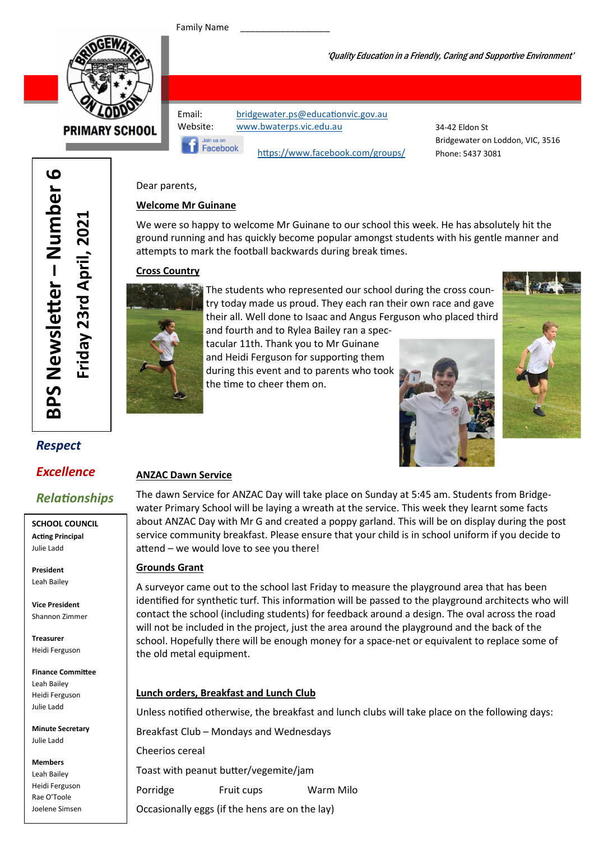Family Name



**PRIMARY SCHOOL** 

Email: bridgewater.ps@educationvic.gov.au Website: www.bwaterps.vic.edu.au

Facebook

https://www.facebook.com/groups/

34-42 Eldon St Bridgewater on Loddon, VIC, 3516 Phone: 5437 3081

'Quality Education in a Friendly, Caring and Supportive Environment'

#### Dear parents,

#### Welcome Mr Guinane

We were so happy to welcome Mr Guinane to our school this week. He has absolutely hit the ground running and has quickly become popular amongst students with his gentle manner and attempts to mark the football backwards during break times.

#### Cross Country



The students who represented our school during the cross country today made us proud. They each ran their own race and gave their all. Well done to Isaac and Angus Ferguson who placed third

and fourth and to Rylea Bailey ran a spectacular 11th. Thank you to Mr Guinane and Heidi Ferguson for supporting them during this event and to parents who took the time to cheer them on.





## Respect

BPS Newsle

BPS Newsletter - Number 6

er – Number 6

Friday 23rd April, 2021

Friday 23rd April, 2021

### Excellence

## **Relationships**

SCHOOL COUNCIL **Acting Principal** Julie Ladd

President Leah Bailey

Vice President Shannon Zimmer

Treasurer Heidi Ferguson

Finance Committee Leah Bailey Heidi Ferguson Julie Ladd

Minute Secretary Julie Ladd

Members Leah Bailey Heidi Ferguson Rae O'Toole Joelene Simsen

#### ANZAC Dawn Service

The dawn Service for ANZAC Day will take place on Sunday at 5:45 am. Students from Bridgewater Primary School will be laying a wreath at the service. This week they learnt some facts about ANZAC Day with Mr G and created a poppy garland. This will be on display during the post service community breakfast. Please ensure that your child is in school uniform if you decide to attend – we would love to see you there!

#### Grounds Grant

A surveyor came out to the school last Friday to measure the playground area that has been identified for synthetic turf. This information will be passed to the playground architects who will contact the school (including students) for feedback around a design. The oval across the road will not be included in the project, just the area around the playground and the back of the school. Hopefully there will be enough money for a space-net or equivalent to replace some of the old metal equipment.

#### Lunch orders, Breakfast and Lunch Club

Unless notified otherwise, the breakfast and lunch clubs will take place on the following days:

Breakfast Club – Mondays and Wednesdays

Cheerios cereal

Toast with peanut butter/vegemite/jam

Porridge Fruit cups Warm Milo

Occasionally eggs (if the hens are on the lay)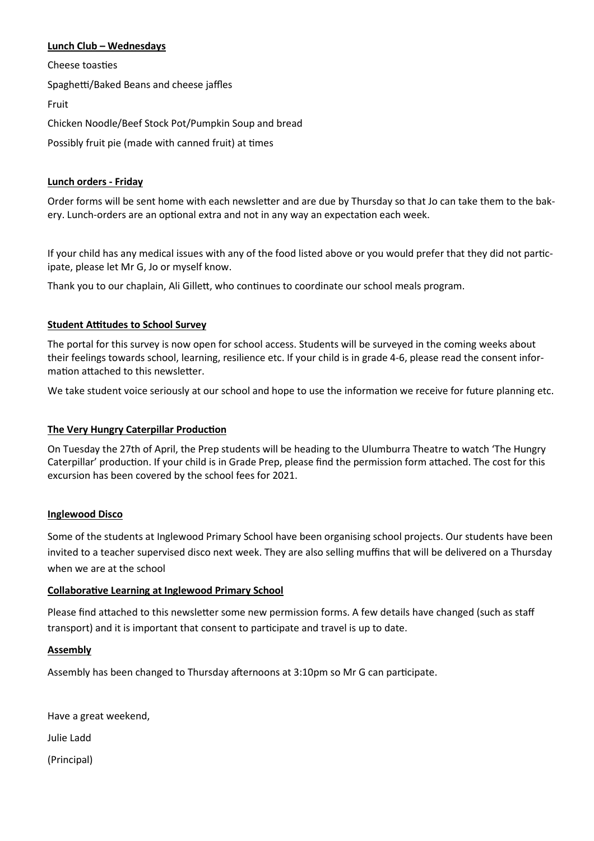#### Lunch Club – Wednesdays

Cheese toasties Spaghetti/Baked Beans and cheese jaffles Fruit Chicken Noodle/Beef Stock Pot/Pumpkin Soup and bread Possibly fruit pie (made with canned fruit) at times

#### Lunch orders - Friday

Order forms will be sent home with each newsletter and are due by Thursday so that Jo can take them to the bakery. Lunch-orders are an optional extra and not in any way an expectation each week.

If your child has any medical issues with any of the food listed above or you would prefer that they did not participate, please let Mr G, Jo or myself know.

Thank you to our chaplain, Ali Gillett, who continues to coordinate our school meals program.

#### **Student Attitudes to School Survey**

The portal for this survey is now open for school access. Students will be surveyed in the coming weeks about their feelings towards school, learning, resilience etc. If your child is in grade 4-6, please read the consent information attached to this newsletter.

We take student voice seriously at our school and hope to use the information we receive for future planning etc.

#### The Very Hungry Caterpillar Production

On Tuesday the 27th of April, the Prep students will be heading to the Ulumburra Theatre to watch 'The Hungry Caterpillar' production. If your child is in Grade Prep, please find the permission form attached. The cost for this excursion has been covered by the school fees for 2021.

#### Inglewood Disco

Some of the students at Inglewood Primary School have been organising school projects. Our students have been invited to a teacher supervised disco next week. They are also selling muffins that will be delivered on a Thursday when we are at the school

#### Collaborative Learning at Inglewood Primary School

Please find attached to this newsletter some new permission forms. A few details have changed (such as staff transport) and it is important that consent to participate and travel is up to date.

#### Assembly

Assembly has been changed to Thursday afternoons at 3:10pm so Mr G can participate.

Have a great weekend, Julie Ladd (Principal)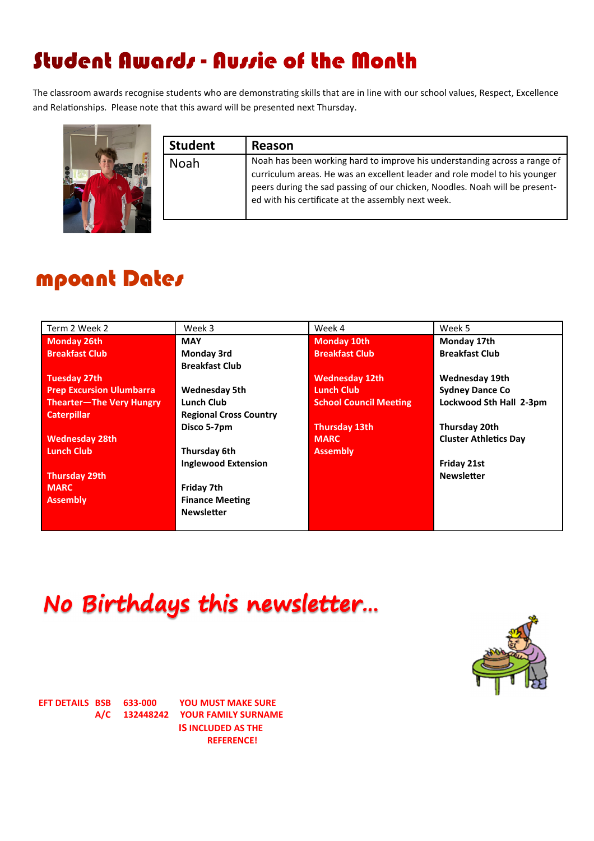# Student Awards - Aussie of the Month

The classroom awards recognise students who are demonstrating skills that are in line with our school values, Respect, Excellence and Relationships. Please note that this award will be presented next Thursday.



| <b>Student</b> | Reason                                                                                                                                                                                                                                                                                       |
|----------------|----------------------------------------------------------------------------------------------------------------------------------------------------------------------------------------------------------------------------------------------------------------------------------------------|
| Noah           | Noah has been working hard to improve his understanding across a range of<br>curriculum areas. He was an excellent leader and role model to his younger<br>peers during the sad passing of our chicken, Noodles. Noah will be present-<br>ed with his certificate at the assembly next week. |

## mpoant Dates

| Term 2 Week 2                   | Week 3                        | Week 4                        | Week 5                       |
|---------------------------------|-------------------------------|-------------------------------|------------------------------|
| <b>Monday 26th</b>              | <b>MAY</b>                    | <b>Monday 10th</b>            | Monday 17th                  |
| <b>Breakfast Club</b>           | Monday 3rd                    | <b>Breakfast Club</b>         | <b>Breakfast Club</b>        |
|                                 | <b>Breakfast Club</b>         |                               |                              |
| <b>Tuesday 27th</b>             |                               | <b>Wednesday 12th</b>         | Wednesday 19th               |
| <b>Prep Excursion Ulumbarra</b> | <b>Wednesday 5th</b>          | <b>Lunch Club</b>             | <b>Sydney Dance Co</b>       |
| Thearter-The Very Hungry        | <b>Lunch Club</b>             | <b>School Council Meeting</b> | Lockwood Sth Hall 2-3pm      |
| <b>Caterpillar</b>              | <b>Regional Cross Country</b> |                               |                              |
|                                 | Disco 5-7pm                   | <b>Thursday 13th</b>          | Thursday 20th                |
| <b>Wednesday 28th</b>           |                               | <b>MARC</b>                   | <b>Cluster Athletics Day</b> |
| <b>Lunch Club</b>               | Thursday 6th                  | <b>Assembly</b>               |                              |
|                                 | <b>Inglewood Extension</b>    |                               | Friday 21st                  |
| <b>Thursday 29th</b>            |                               |                               | <b>Newsletter</b>            |
| <b>MARC</b>                     | Friday 7th                    |                               |                              |
| <b>Assembly</b>                 | <b>Finance Meeting</b>        |                               |                              |
|                                 | <b>Newsletter</b>             |                               |                              |
|                                 |                               |                               |                              |

No Birthdays this newsletter...



EFT DETAILS BSB 633-000 YOU MUST MAKE SURE A/C 132448242 YOUR FAMILY SURNAME IS INCLUDED AS THE REFERENCE!